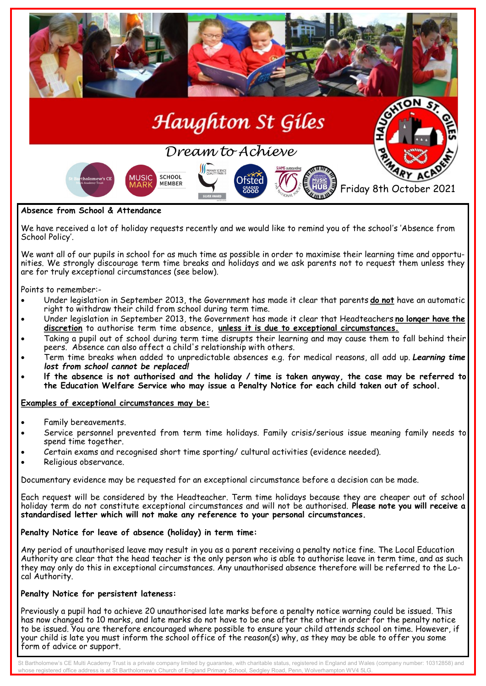

#### We have received a lot of holiday requests recently and we would like to remind you of the school's 'Absence from School Policy'.

We want all of our pupils in school for as much time as possible in order to maximise their learning time and opportunities. We strongly discourage term time breaks and holidays and we ask parents not to request them unless they are for truly exceptional circumstances (see below).

Points to remember:-

- Under legislation in September 2013, the Government has made it clear that parents **do not** have an automatic right to withdraw their child from school during term time.
- Under legislation in September 2013, the Government has made it clear that Headteachers **no lonqer have the discretion** to authorise term time absence, **unless it is due to exceptional circumstances.**
- Taking a pupil out of school during term time disrupts their learning and may cause them to fall behind their peers. Absence can also affect a child's relationship with others.
- Term time breaks when added to unpredictable absences e.g. for medical reasons, all add up. *Learning time lost from school cannot be replaced!*
- **lf the absence is not authorised and the holiday / time is taken anyway, the case may be referred to the Education Welfare Service who may issue a Penalty Notice for each child taken out of school.**

### **Examples of exceptional circumstances may be:**

- Family bereavements.
- Service personnel prevented from term time holidays. Family crisis/serious issue meaning family needs to spend time together.
- Certain exams and recognised short time sporting/ cultural activities (evidence needed).
- Religious observance.

Documentary evidence may be requested for an exceptional circumstance before a decision can be made.

Each request will be considered by the Headteacher. Term time holidays because they are cheaper out of school holiday term do not constitute exceptional circumstances and will not be authorised. **Please note you will receive a standardised letter which will not make any reference to your personal circumstances.**

### **Penalty Notice for leave of absence (holiday) in term time:**

Any period of unauthorised leave may result in you as a parent receiving a penalty notice fine. The Local Education Authority are clear that the head teacher is the only person who is able to authorise leave in term time, and as such they may only do this in exceptional circumstances. Any unauthorised absence therefore will be referred to the Local Authority.

## **Penalty Notice for persistent lateness:**

Previously a pupil had to achieve 20 unauthorised late marks before a penalty notice warning could be issued. This has now changed to 10 marks, and late marks do not have to be one after the other in order for the penalty notice to be issued. You are therefore encouraged where possible to ensure your child attends school on time. However, if your child is late you must inform the school office of the reason(s) why, as they may be able to offer you some form of advice or support.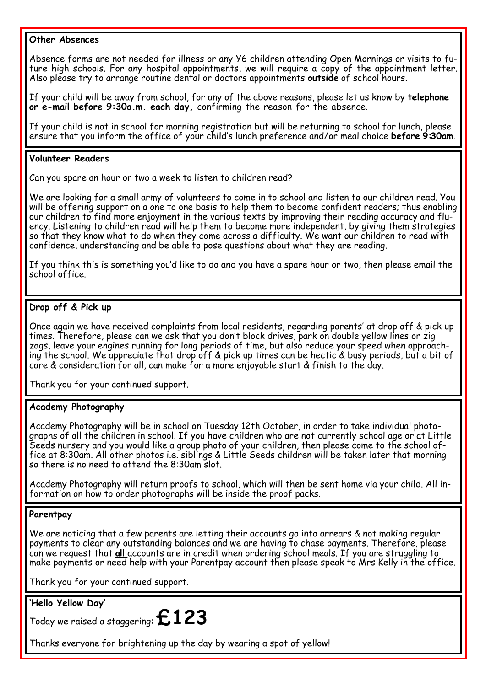### **Other Absences**

Absence forms are not needed for illness or any Y6 children attending Open Mornings or visits to future high schools. For any hospital appointments, we will require a copy of the appointment letter. Also please try to arrange routine dental or doctors appointments **outside** of school hours.

If your child will be away from school, for any of the above reasons, please let us know by **telephone or e-mail before 9:30a.m. each day,** confirming the reason for the absence.

If your child is not in school for morning registration but will be returning to school for lunch, please ensure that you inform the office of your child's lunch preference and/or meal choice **before 9:30am**.

### **Volunteer Readers**

Can you spare an hour or two a week to listen to children read?

We are looking for a small army of volunteers to come in to school and listen to our children read. You will be offering support on a one to one basis to help them to become confident readers; thus enabling our children to find more enjoyment in the various texts by improving their reading accuracy and fluency. Listening to children read will help them to become more independent, by giving them strategies so that they know what to do when they come across a difficulty. We want our children to read with confidence, understanding and be able to pose questions about what they are reading.

If you think this is something you'd like to do and you have a spare hour or two, then please email the school office.

# **Drop off & Pick up**

Once again we have received complaints from local residents, regarding parents' at drop off & pick up times. Therefore, please can we ask that you don't block drives, park on double yellow lines or zig zags, leave your engines running for long periods of time, but also reduce your speed when approaching the school. We appreciate that drop off & pick up times can be hectic & busy periods, but a bit of care & consideration for all, can make for a more enjoyable start & finish to the day.

Thank you for your continued support.

## **Academy Photography**

Academy Photography will be in school on Tuesday 12th October, in order to take individual photographs of all the children in school. If you have children who are not currently school age or at Little Seeds nursery and you would like a group photo of your children, then please come to the school office at 8:30am. All other photos i.e. siblings & Little Seeds children will be taken later that morning so there is no need to attend the 8:30am slot.

Academy Photography will return proofs to school, which will then be sent home via your child. All information on how to order photographs will be inside the proof packs.

## **Parentpay**

We are noticing that a few parents are letting their accounts go into arrears & not making regular payments to clear any outstanding balances and we are having to chase payments. Therefore, please can we request that **all** accounts are in credit when ordering school meals. If you are struggling to make payments or need help with your Parentpay account then please speak to Mrs Kelly in the office.

Thank you for your continued support.

# **'Hello Yellow Day'**

Today we raised a staggering: **£123**

Thanks everyone for brightening up the day by wearing a spot of yellow!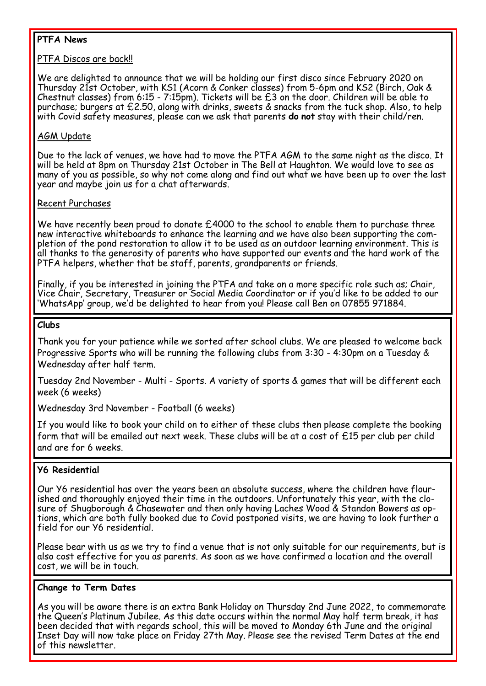# **PTFA News**

## PTFA Discos are back!!

We are delighted to announce that we will be holding our first disco since February 2020 on Thursday 21st October, with KS1 (Acorn & Conker classes) from 5-6pm and KS2 (Birch, Oak & Chestnut classes) from 6:15 - 7:15pm). Tickets will be £3 on the door. Children will be able to purchase; burgers at £2.50, along with drinks, sweets & snacks from the tuck shop. Also, to help with Covid safety measures, please can we ask that parents **do not** stay with their child/ren.

# AGM Update

Due to the lack of venues, we have had to move the PTFA AGM to the same night as the disco. It will be held at 8pm on Thursday 21st October in The Bell at Haughton. We would love to see as many of you as possible, so why not come along and find out what we have been up to over the last year and maybe join us for a chat afterwards.

### Recent Purchases

We have recently been proud to donate £4000 to the school to enable them to purchase three new interactive whiteboards to enhance the learning and we have also been supporting the completion of the pond restoration to allow it to be used as an outdoor learning environment. This is all thanks to the generosity of parents who have supported our events and the hard work of the PTFA helpers, whether that be staff, parents, grandparents or friends.

Finally, if you be interested in joining the PTFA and take on a more specific role such as; Chair, Vice Chair, Secretary, Treasurer or Social Media Coordinator or if you'd like to be added to our 'WhatsApp' group, we'd be delighted to hear from you! Please call Ben on 07855 971884.

### **Clubs**

Thank you for your patience while we sorted after school clubs. We are pleased to welcome back Progressive Sports who will be running the following clubs from 3:30 - 4:30pm on a Tuesday & Wednesday after half term.

Tuesday 2nd November - Multi - Sports. A variety of sports & games that will be different each week (6 weeks)

Wednesday 3rd November - Football (6 weeks)

If you would like to book your child on to either of these clubs then please complete the booking form that will be emailed out next week. These clubs will be at a cost of £15 per club per child and are for 6 weeks.

# **Y6 Residential**

Our Y6 residential has over the years been an absolute success, where the children have flourished and thoroughly enjoyed their time in the outdoors. Unfortunately this year, with the closure of Shugborough & Chasewater and then only having Laches Wood & Standon Bowers as options, which are both fully booked due to Covid postponed visits, we are having to look further a field for our Y6 residential.

Please bear with us as we try to find a venue that is not only suitable for our requirements, but is also cost effective for you as parents. As soon as we have confirmed a location and the overall cost, we will be in touch.

### **Change to Term Dates**

As you will be aware there is an extra Bank Holiday on Thursday 2nd June 2022, to commemorate the Queen's Platinum Jubilee. As this date occurs within the normal May half term break, it has been decided that with regards school, this will be moved to Monday 6th June and the original Inset Day will now take place on Friday 27th May. Please see the revised Term Dates at the end of this newsletter.